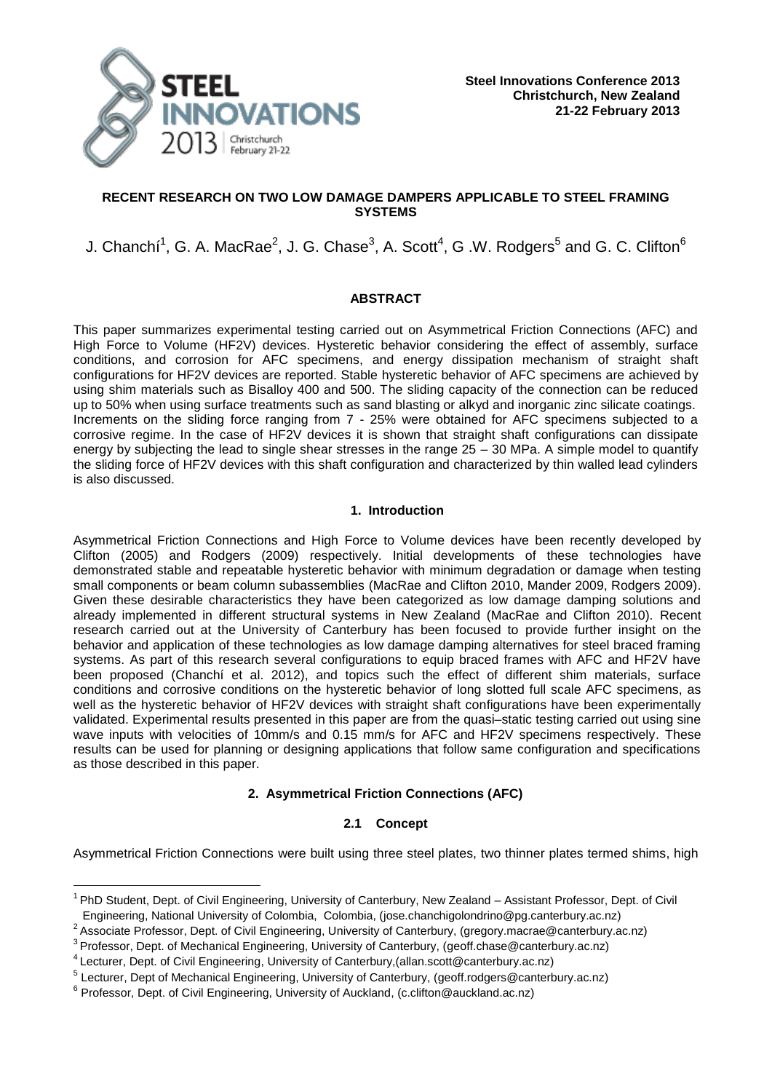

# **RECENT RESEARCH ON TWO LOW DAMAGE DAMPERS APPLICABLE TO STEEL FRAMING SYSTEMS**

# J. Chanchí $^1$ , G. A. MacRae $^2$ , J. G. Chase $^3$ , A. Scott $^4$ , G .W. Rodgers $^5$  and G. C. Clifton $^6$

# **ABSTRACT**

This paper summarizes experimental testing carried out on Asymmetrical Friction Connections (AFC) and High Force to Volume (HF2V) devices. Hysteretic behavior considering the effect of assembly, surface conditions, and corrosion for AFC specimens, and energy dissipation mechanism of straight shaft configurations for HF2V devices are reported. Stable hysteretic behavior of AFC specimens are achieved by using shim materials such as Bisalloy 400 and 500. The sliding capacity of the connection can be reduced up to 50% when using surface treatments such as sand blasting or alkyd and inorganic zinc silicate coatings. Increments on the sliding force ranging from 7 - 25% were obtained for AFC specimens subjected to a corrosive regime. In the case of HF2V devices it is shown that straight shaft configurations can dissipate energy by subjecting the lead to single shear stresses in the range 25 – 30 MPa. A simple model to quantify the sliding force of HF2V devices with this shaft configuration and characterized by thin walled lead cylinders is also discussed.

# **1. Introduction**

Asymmetrical Friction Connections and High Force to Volume devices have been recently developed by Clifton (2005) and Rodgers (2009) respectively. Initial developments of these technologies have demonstrated stable and repeatable hysteretic behavior with minimum degradation or damage when testing small components or beam column subassemblies (MacRae and Clifton 2010, Mander 2009, Rodgers 2009). Given these desirable characteristics they have been categorized as low damage damping solutions and already implemented in different structural systems in New Zealand (MacRae and Clifton 2010). Recent research carried out at the University of Canterbury has been focused to provide further insight on the behavior and application of these technologies as low damage damping alternatives for steel braced framing systems. As part of this research several configurations to equip braced frames with AFC and HF2V have been proposed (Chanchí et al. 2012), and topics such the effect of different shim materials, surface conditions and corrosive conditions on the hysteretic behavior of long slotted full scale AFC specimens, as well as the hysteretic behavior of HF2V devices with straight shaft configurations have been experimentally validated. Experimental results presented in this paper are from the quasi–static testing carried out using sine wave inputs with velocities of 10mm/s and 0.15 mm/s for AFC and HF2V specimens respectively. These results can be used for planning or designing applications that follow same configuration and specifications as those described in this paper.

# **2. Asymmetrical Friction Connections (AFC)**

# **2.1 Concept**

Asymmetrical Friction Connections were built using three steel plates, two thinner plates termed shims, high

—<br>—

<sup>&</sup>lt;sup>1</sup> PhD Student, Dept. of Civil Engineering, University of Canterbury, New Zealand – Assistant Professor, Dept. of Civil Engineering, National University of Colombia, Colombia, (jose.chanchigolondrino@pg.canterbury.ac.nz)

<sup>&</sup>lt;sup>2</sup> Associate Professor, Dept. of Civil Engineering, University of Canterbury, (gregory.macrae@canterbury.ac.nz)

<sup>&</sup>lt;sup>3</sup> Professor, Dept. of Mechanical Engineering, University of Canterbury, (geoff.chase@canterbury.ac.nz)

<sup>4</sup>Lecturer, Dept. of Civil Engineering, University of Canterbury,(allan.scott@canterbury.ac.nz)

<sup>&</sup>lt;sup>5</sup> Lecturer, Dept of Mechanical Engineering, University of Canterbury, (geoff.rodgers@canterbury.ac.nz)

<sup>&</sup>lt;sup>6</sup> Professor, Dept. of Civil Engineering, University of Auckland, (c.clifton@auckland.ac.nz)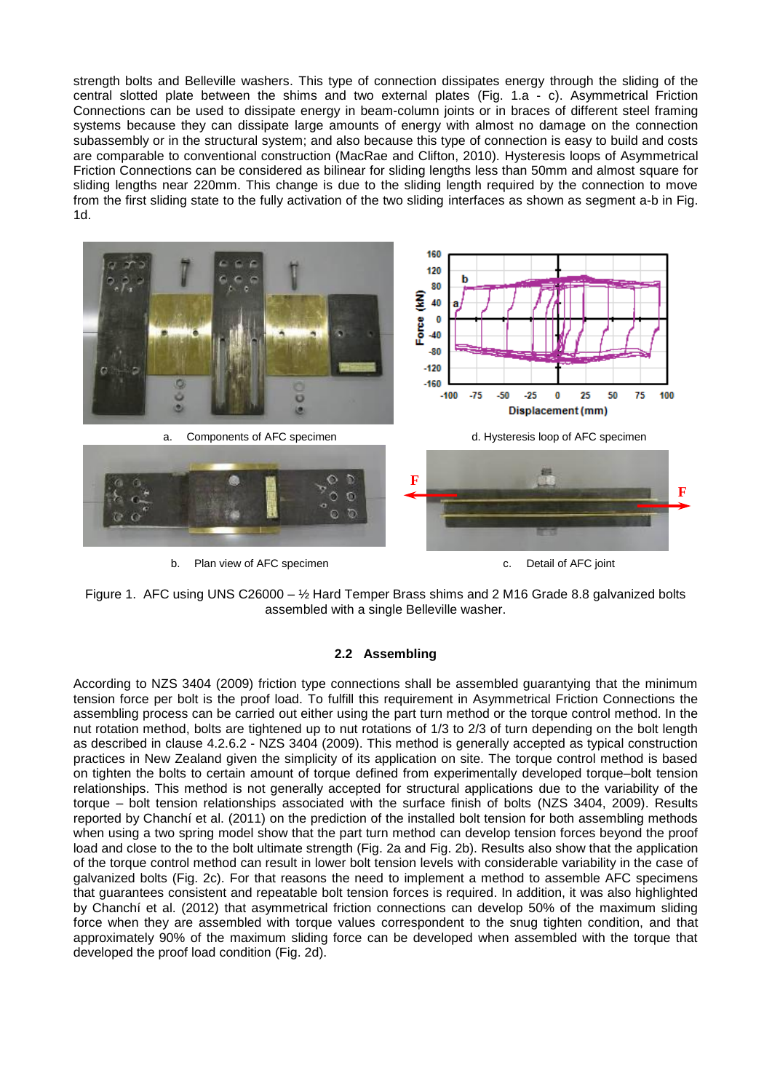strength bolts and Belleville washers. This type of connection dissipates energy through the sliding of the central slotted plate between the shims and two external plates (Fig. 1.a - c). Asymmetrical Friction Connections can be used to dissipate energy in beam-column joints or in braces of different steel framing systems because they can dissipate large amounts of energy with almost no damage on the connection subassembly or in the structural system; and also because this type of connection is easy to build and costs are comparable to conventional construction (MacRae and Clifton, 2010). Hysteresis loops of Asymmetrical Friction Connections can be considered as bilinear for sliding lengths less than 50mm and almost square for sliding lengths near 220mm. This change is due to the sliding length required by the connection to move from the first sliding state to the fully activation of the two sliding interfaces as shown as segment a-b in Fig. 1d.



Figure 1. AFC using UNS C26000 – ½ Hard Temper Brass shims and 2 M16 Grade 8.8 galvanized bolts assembled with a single Belleville washer.

### **2.2 Assembling**

According to NZS 3404 (2009) friction type connections shall be assembled guarantying that the minimum tension force per bolt is the proof load. To fulfill this requirement in Asymmetrical Friction Connections the assembling process can be carried out either using the part turn method or the torque control method. In the nut rotation method, bolts are tightened up to nut rotations of 1/3 to 2/3 of turn depending on the bolt length as described in clause 4.2.6.2 - NZS 3404 (2009). This method is generally accepted as typical construction practices in New Zealand given the simplicity of its application on site. The torque control method is based on tighten the bolts to certain amount of torque defined from experimentally developed torque–bolt tension relationships. This method is not generally accepted for structural applications due to the variability of the torque – bolt tension relationships associated with the surface finish of bolts (NZS 3404, 2009). Results reported by Chanchí et al. (2011) on the prediction of the installed bolt tension for both assembling methods when using a two spring model show that the part turn method can develop tension forces beyond the proof load and close to the to the bolt ultimate strength (Fig. 2a and Fig. 2b). Results also show that the application of the torque control method can result in lower bolt tension levels with considerable variability in the case of galvanized bolts (Fig. 2c). For that reasons the need to implement a method to assemble AFC specimens that guarantees consistent and repeatable bolt tension forces is required. In addition, it was also highlighted by Chanchí et al. (2012) that asymmetrical friction connections can develop 50% of the maximum sliding force when they are assembled with torque values correspondent to the snug tighten condition, and that approximately 90% of the maximum sliding force can be developed when assembled with the torque that developed the proof load condition (Fig. 2d).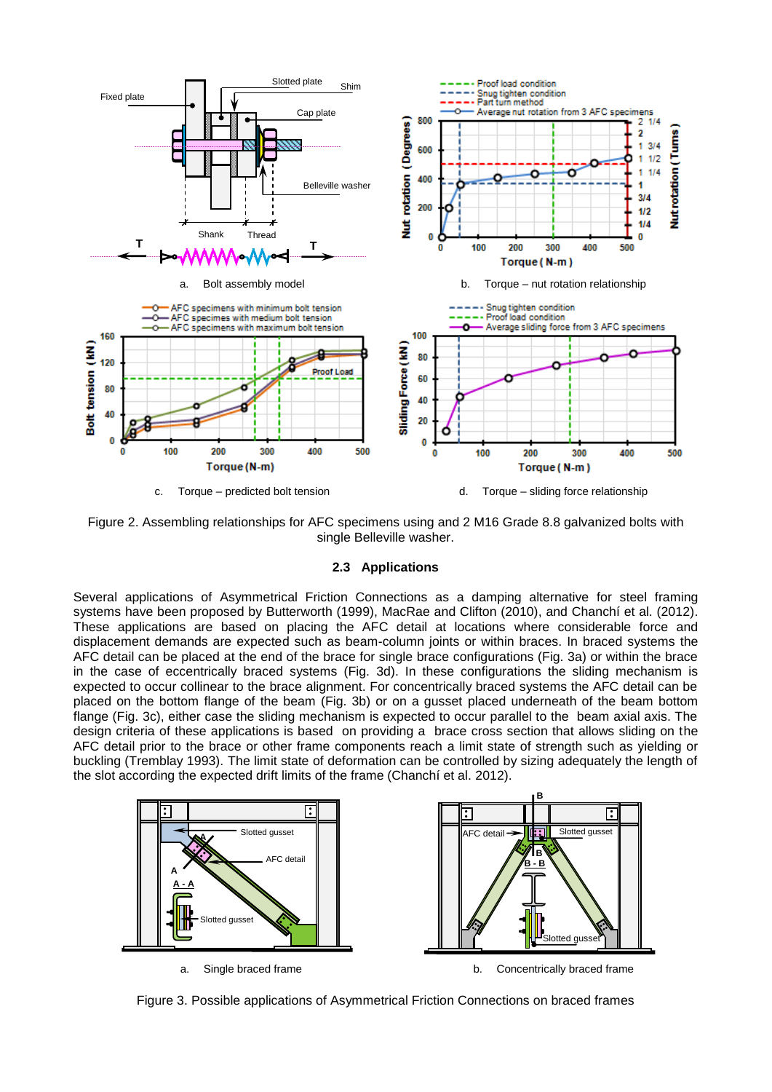

Figure 2. Assembling relationships for AFC specimens using and 2 M16 Grade 8.8 galvanized bolts with single Belleville washer.

#### **2.3 Applications**

Several applications of Asymmetrical Friction Connections as a damping alternative for steel framing systems have been proposed by Butterworth (1999), MacRae and Clifton (2010), and Chanchí et al. (2012). These applications are based on placing the AFC detail at locations where considerable force and displacement demands are expected such as beam-column joints or within braces. In braced systems the AFC detail can be placed at the end of the brace for single brace configurations (Fig. 3a) or within the brace in the case of eccentrically braced systems (Fig. 3d). In these configurations the sliding mechanism is expected to occur collinear to the brace alignment. For concentrically braced systems the AFC detail can be placed on the bottom flange of the beam (Fig. 3b) or on a gusset placed underneath of the beam bottom flange (Fig. 3c), either case the sliding mechanism is expected to occur parallel to the beam axial axis. The design criteria of these applications is based on providing a brace cross section that allows sliding on the AFC detail prior to the brace or other frame components reach a limit state of strength such as yielding or buckling (Tremblay 1993). The limit state of deformation can be controlled by sizing adequately the length of the slot according the expected drift limits of the frame (Chanchí et al. 2012).



Figure 3. Possible applications of Asymmetrical Friction Connections on braced frames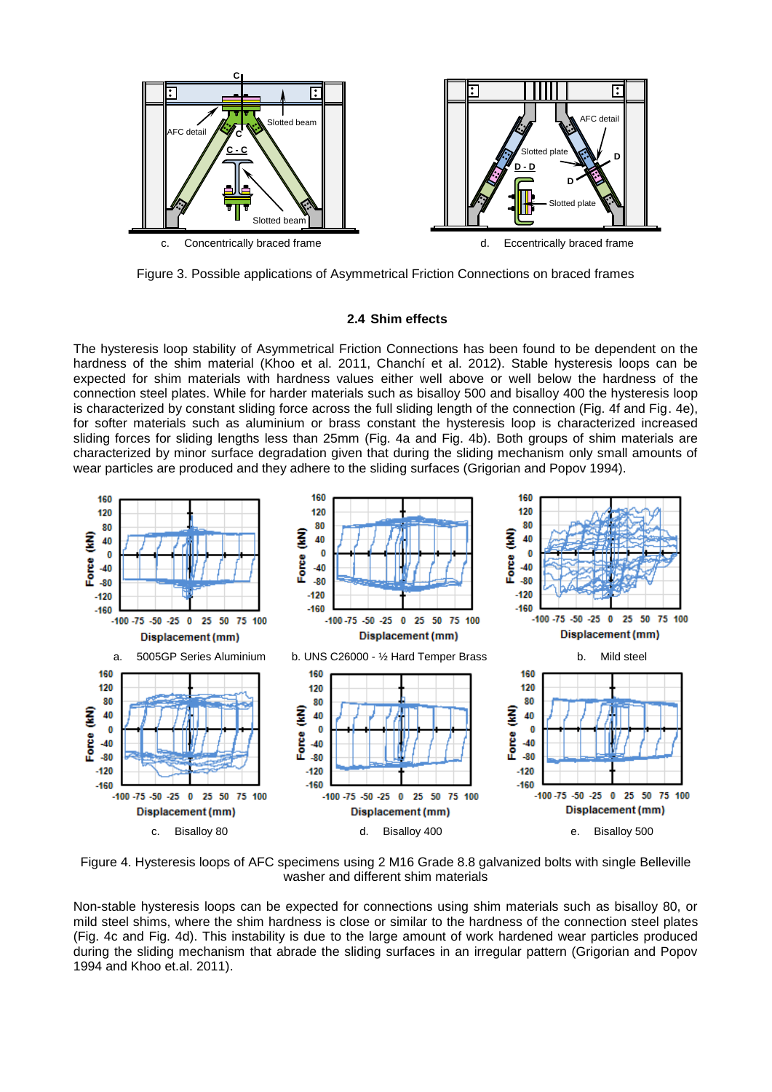

Figure 3. Possible applications of Asymmetrical Friction Connections on braced frames

# **2.4 Shim effects**

The hysteresis loop stability of Asymmetrical Friction Connections has been found to be dependent on the hardness of the shim material (Khoo et al. 2011, Chanchí et al. 2012). Stable hysteresis loops can be expected for shim materials with hardness values either well above or well below the hardness of the connection steel plates. While for harder materials such as bisalloy 500 and bisalloy 400 the hysteresis loop is characterized by constant sliding force across the full sliding length of the connection (Fig. 4f and Fig. 4e), for softer materials such as aluminium or brass constant the hysteresis loop is characterized increased sliding forces for sliding lengths less than 25mm (Fig. 4a and Fig. 4b). Both groups of shim materials are characterized by minor surface degradation given that during the sliding mechanism only small amounts of wear particles are produced and they adhere to the sliding surfaces (Grigorian and Popov 1994).



Figure 4. Hysteresis loops of AFC specimens using 2 M16 Grade 8.8 galvanized bolts with single Belleville washer and different shim materials

Non-stable hysteresis loops can be expected for connections using shim materials such as bisalloy 80, or mild steel shims, where the shim hardness is close or similar to the hardness of the connection steel plates (Fig. 4c and Fig. 4d). This instability is due to the large amount of work hardened wear particles produced during the sliding mechanism that abrade the sliding surfaces in an irregular pattern (Grigorian and Popov 1994 and Khoo et.al. 2011).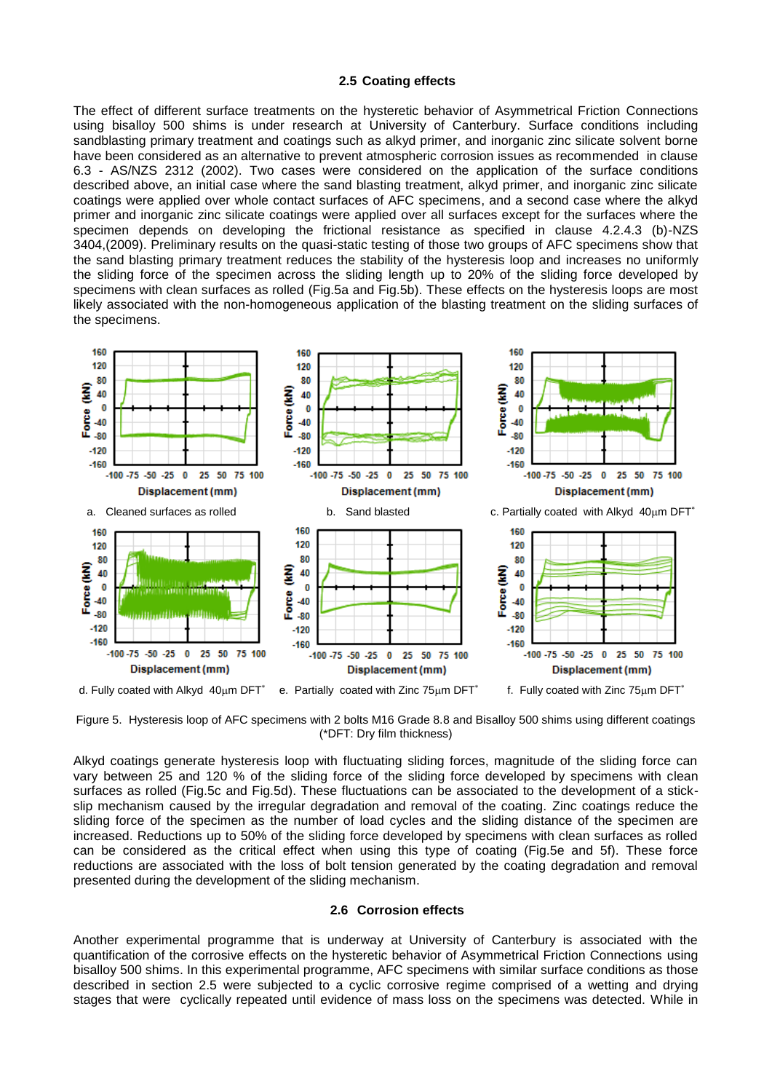#### **2.5 Coating effects**

The effect of different surface treatments on the hysteretic behavior of Asymmetrical Friction Connections using bisalloy 500 shims is under research at University of Canterbury. Surface conditions including sandblasting primary treatment and coatings such as alkyd primer, and inorganic zinc silicate solvent borne have been considered as an alternative to prevent atmospheric corrosion issues as recommended in clause 6.3 - AS/NZS 2312 (2002). Two cases were considered on the application of the surface conditions described above, an initial case where the sand blasting treatment, alkyd primer, and inorganic zinc silicate coatings were applied over whole contact surfaces of AFC specimens, and a second case where the alkyd primer and inorganic zinc silicate coatings were applied over all surfaces except for the surfaces where the specimen depends on developing the frictional resistance as specified in clause 4.2.4.3 (b)-NZS 3404,(2009). Preliminary results on the quasi-static testing of those two groups of AFC specimens show that the sand blasting primary treatment reduces the stability of the hysteresis loop and increases no uniformly the sliding force of the specimen across the sliding length up to 20% of the sliding force developed by specimens with clean surfaces as rolled (Fig.5a and Fig.5b). These effects on the hysteresis loops are most likely associated with the non-homogeneous application of the blasting treatment on the sliding surfaces of the specimens.



Figure 5. Hysteresis loop of AFC specimens with 2 bolts M16 Grade 8.8 and Bisalloy 500 shims using different coatings (\*DFT: Dry film thickness)

Alkyd coatings generate hysteresis loop with fluctuating sliding forces, magnitude of the sliding force can vary between 25 and 120 % of the sliding force of the sliding force developed by specimens with clean surfaces as rolled (Fig.5c and Fig.5d). These fluctuations can be associated to the development of a stickslip mechanism caused by the irregular degradation and removal of the coating. Zinc coatings reduce the sliding force of the specimen as the number of load cycles and the sliding distance of the specimen are increased. Reductions up to 50% of the sliding force developed by specimens with clean surfaces as rolled can be considered as the critical effect when using this type of coating (Fig.5e and 5f). These force reductions are associated with the loss of bolt tension generated by the coating degradation and removal presented during the development of the sliding mechanism.

#### **2.6 Corrosion effects**

Another experimental programme that is underway at University of Canterbury is associated with the quantification of the corrosive effects on the hysteretic behavior of Asymmetrical Friction Connections using bisalloy 500 shims. In this experimental programme, AFC specimens with similar surface conditions as those described in section 2.5 were subjected to a cyclic corrosive regime comprised of a wetting and drying stages that were cyclically repeated until evidence of mass loss on the specimens was detected. While in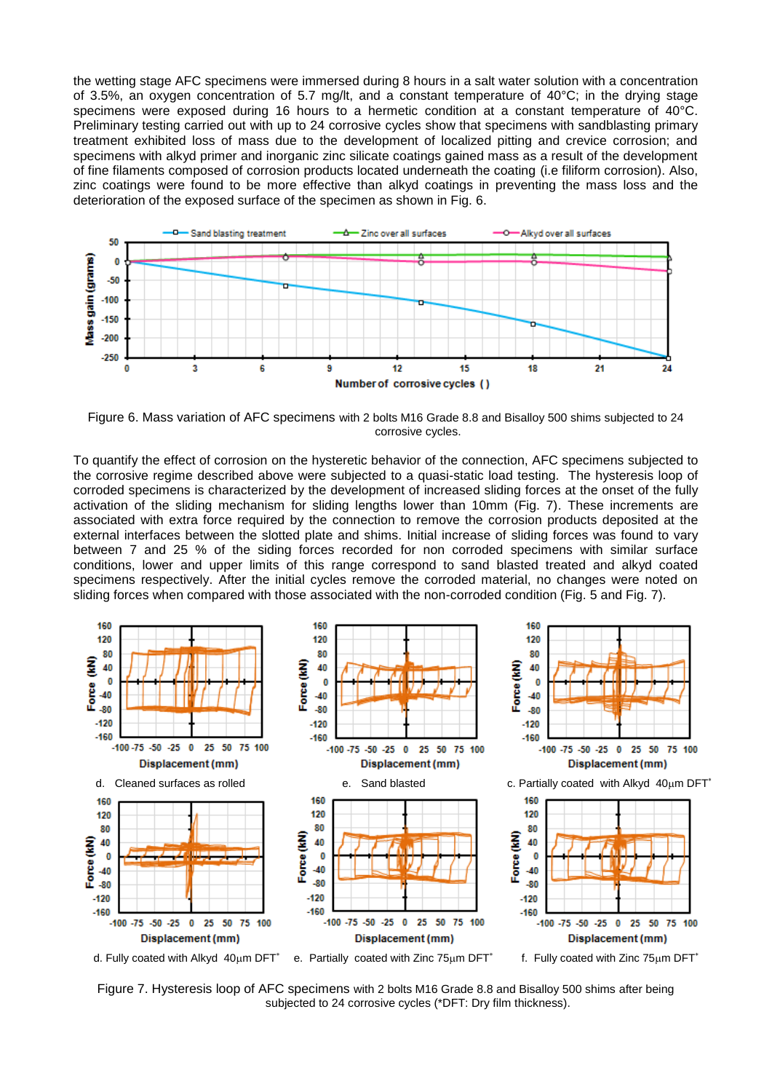the wetting stage AFC specimens were immersed during 8 hours in a salt water solution with a concentration of 3.5%, an oxygen concentration of 5.7 mg/lt, and a constant temperature of 40°C; in the drying stage specimens were exposed during 16 hours to a hermetic condition at a constant temperature of 40°C. Preliminary testing carried out with up to 24 corrosive cycles show that specimens with sandblasting primary treatment exhibited loss of mass due to the development of localized pitting and crevice corrosion; and specimens with alkyd primer and inorganic zinc silicate coatings gained mass as a result of the development of fine filaments composed of corrosion products located underneath the coating (i.e filiform corrosion). Also, zinc coatings were found to be more effective than alkyd coatings in preventing the mass loss and the deterioration of the exposed surface of the specimen as shown in Fig. 6.



Figure 6. Mass variation of AFC specimens with 2 bolts M16 Grade 8.8 and Bisalloy 500 shims subjected to 24 corrosive cycles.

To quantify the effect of corrosion on the hysteretic behavior of the connection, AFC specimens subjected to the corrosive regime described above were subjected to a quasi-static load testing. The hysteresis loop of corroded specimens is characterized by the development of increased sliding forces at the onset of the fully activation of the sliding mechanism for sliding lengths lower than 10mm (Fig. 7). These increments are associated with extra force required by the connection to remove the corrosion products deposited at the external interfaces between the slotted plate and shims. Initial increase of sliding forces was found to vary between 7 and 25 % of the siding forces recorded for non corroded specimens with similar surface conditions, lower and upper limits of this range correspond to sand blasted treated and alkyd coated specimens respectively. After the initial cycles remove the corroded material, no changes were noted on sliding forces when compared with those associated with the non-corroded condition (Fig. 5 and Fig. 7).



Figure 7. Hysteresis loop of AFC specimens with 2 bolts M16 Grade 8.8 and Bisalloy 500 shims after being subjected to 24 corrosive cycles (\*DFT: Dry film thickness).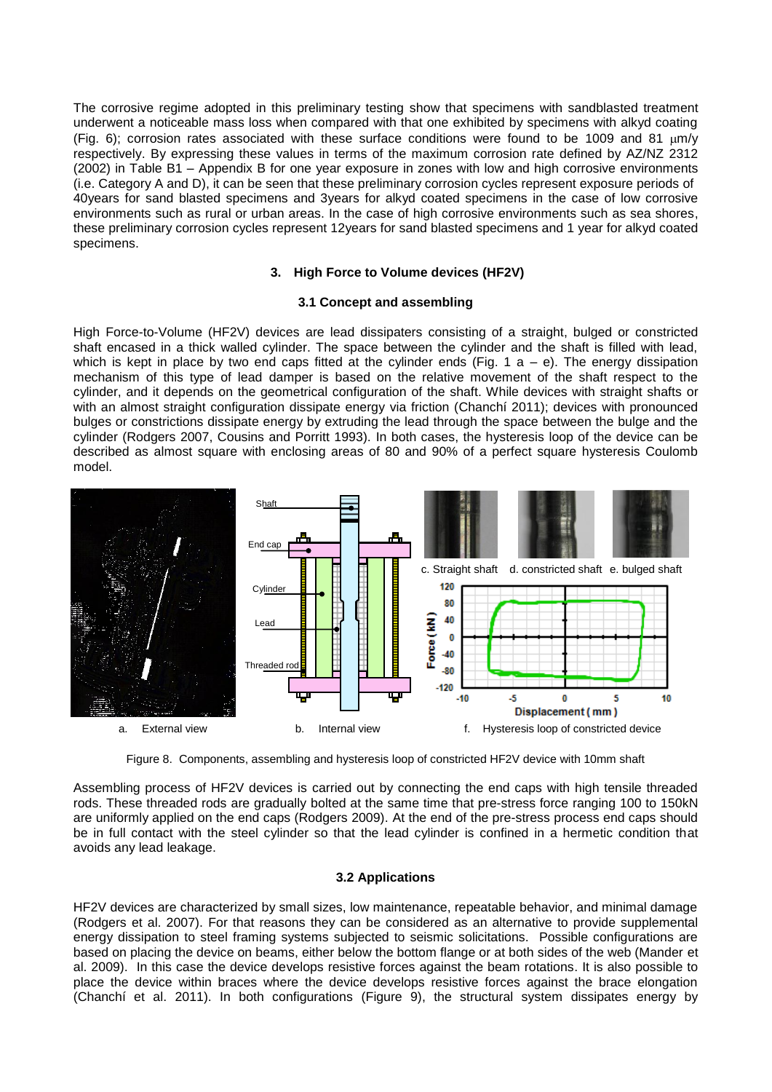The corrosive regime adopted in this preliminary testing show that specimens with sandblasted treatment underwent a noticeable mass loss when compared with that one exhibited by specimens with alkyd coating (Fig. 6); corrosion rates associated with these surface conditions were found to be 1009 and 81  $\mu$ m/v respectively. By expressing these values in terms of the maximum corrosion rate defined by AZ/NZ 2312 (2002) in Table B1 – Appendix B for one year exposure in zones with low and high corrosive environments (i.e. Category A and D), it can be seen that these preliminary corrosion cycles represent exposure periods of 40years for sand blasted specimens and 3years for alkyd coated specimens in the case of low corrosive environments such as rural or urban areas. In the case of high corrosive environments such as sea shores, these preliminary corrosion cycles represent 12years for sand blasted specimens and 1 year for alkyd coated specimens.

### **3. High Force to Volume devices (HF2V)**

### **3.1 Concept and assembling**

High Force-to-Volume (HF2V) devices are lead dissipaters consisting of a straight, bulged or constricted shaft encased in a thick walled cylinder. The space between the cylinder and the shaft is filled with lead, which is kept in place by two end caps fitted at the cylinder ends (Fig. 1 a – e). The energy dissipation mechanism of this type of lead damper is based on the relative movement of the shaft respect to the cylinder, and it depends on the geometrical configuration of the shaft. While devices with straight shafts or with an almost straight configuration dissipate energy via friction (Chanchí 2011); devices with pronounced bulges or constrictions dissipate energy by extruding the lead through the space between the bulge and the cylinder (Rodgers 2007, Cousins and Porritt 1993). In both cases, the hysteresis loop of the device can be described as almost square with enclosing areas of 80 and 90% of a perfect square hysteresis Coulomb model.



Figure 8. Components, assembling and hysteresis loop of constricted HF2V device with 10mm shaft

Assembling process of HF2V devices is carried out by connecting the end caps with high tensile threaded rods. These threaded rods are gradually bolted at the same time that pre-stress force ranging 100 to 150kN are uniformly applied on the end caps (Rodgers 2009). At the end of the pre-stress process end caps should be in full contact with the steel cylinder so that the lead cylinder is confined in a hermetic condition that avoids any lead leakage.

### **3.2 Applications**

HF2V devices are characterized by small sizes, low maintenance, repeatable behavior, and minimal damage (Rodgers et al. 2007). For that reasons they can be considered as an alternative to provide supplemental energy dissipation to steel framing systems subjected to seismic solicitations. Possible configurations are based on placing the device on beams, either below the bottom flange or at both sides of the web (Mander et al. 2009). In this case the device develops resistive forces against the beam rotations. It is also possible to place the device within braces where the device develops resistive forces against the brace elongation (Chanchí et al. 2011). In both configurations (Figure 9), the structural system dissipates energy by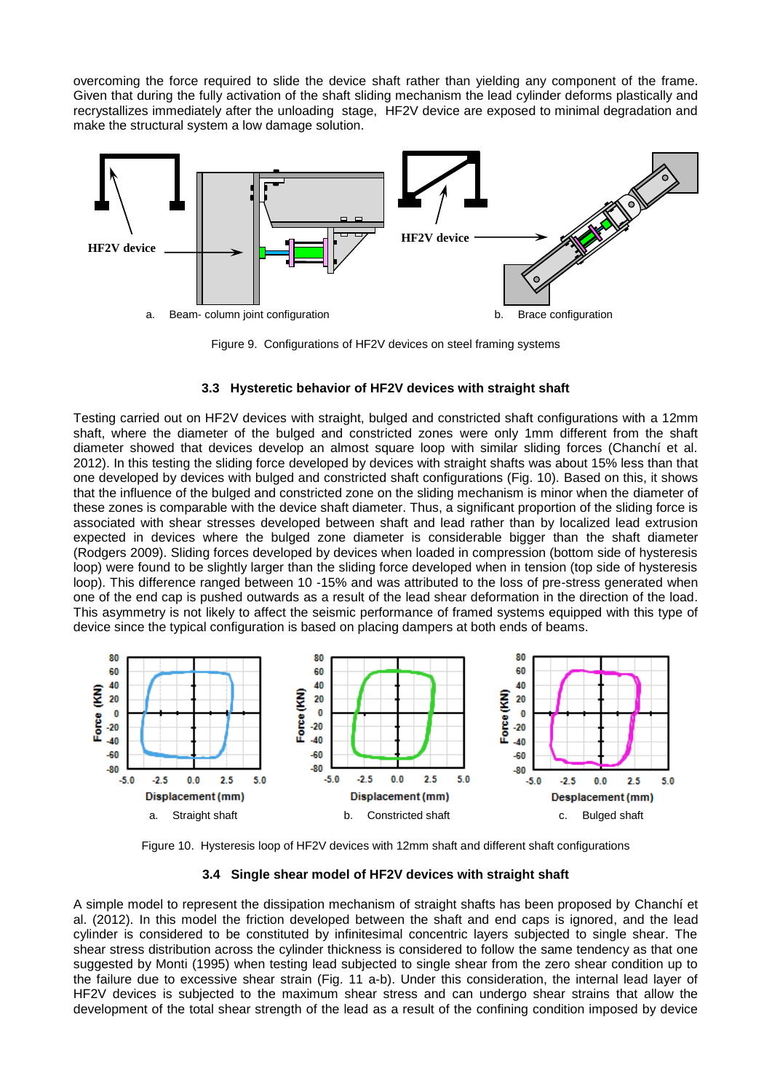overcoming the force required to slide the device shaft rather than yielding any component of the frame. Given that during the fully activation of the shaft sliding mechanism the lead cylinder deforms plastically and recrystallizes immediately after the unloading stage, HF2V device are exposed to minimal degradation and make the structural system a low damage solution.



Figure 9. Configurations of HF2V devices on steel framing systems

### **3.3 Hysteretic behavior of HF2V devices with straight shaft**

Testing carried out on HF2V devices with straight, bulged and constricted shaft configurations with a 12mm shaft, where the diameter of the bulged and constricted zones were only 1mm different from the shaft diameter showed that devices develop an almost square loop with similar sliding forces (Chanchí et al. 2012). In this testing the sliding force developed by devices with straight shafts was about 15% less than that one developed by devices with bulged and constricted shaft configurations (Fig. 10). Based on this, it shows that the influence of the bulged and constricted zone on the sliding mechanism is minor when the diameter of these zones is comparable with the device shaft diameter. Thus, a significant proportion of the sliding force is associated with shear stresses developed between shaft and lead rather than by localized lead extrusion expected in devices where the bulged zone diameter is considerable bigger than the shaft diameter (Rodgers 2009). Sliding forces developed by devices when loaded in compression (bottom side of hysteresis loop) were found to be slightly larger than the sliding force developed when in tension (top side of hysteresis loop). This difference ranged between 10 -15% and was attributed to the loss of pre-stress generated when one of the end cap is pushed outwards as a result of the lead shear deformation in the direction of the load. This asymmetry is not likely to affect the seismic performance of framed systems equipped with this type of device since the typical configuration is based on placing dampers at both ends of beams.



Figure 10. Hysteresis loop of HF2V devices with 12mm shaft and different shaft configurations

**3.4 Single shear model of HF2V devices with straight shaft**

A simple model to represent the dissipation mechanism of straight shafts has been proposed by Chanchí et al. (2012). In this model the friction developed between the shaft and end caps is ignored, and the lead cylinder is considered to be constituted by infinitesimal concentric layers subjected to single shear. The shear stress distribution across the cylinder thickness is considered to follow the same tendency as that one suggested by Monti (1995) when testing lead subjected to single shear from the zero shear condition up to the failure due to excessive shear strain (Fig. 11 a-b). Under this consideration, the internal lead layer of HF2V devices is subjected to the maximum shear stress and can undergo shear strains that allow the development of the total shear strength of the lead as a result of the confining condition imposed by device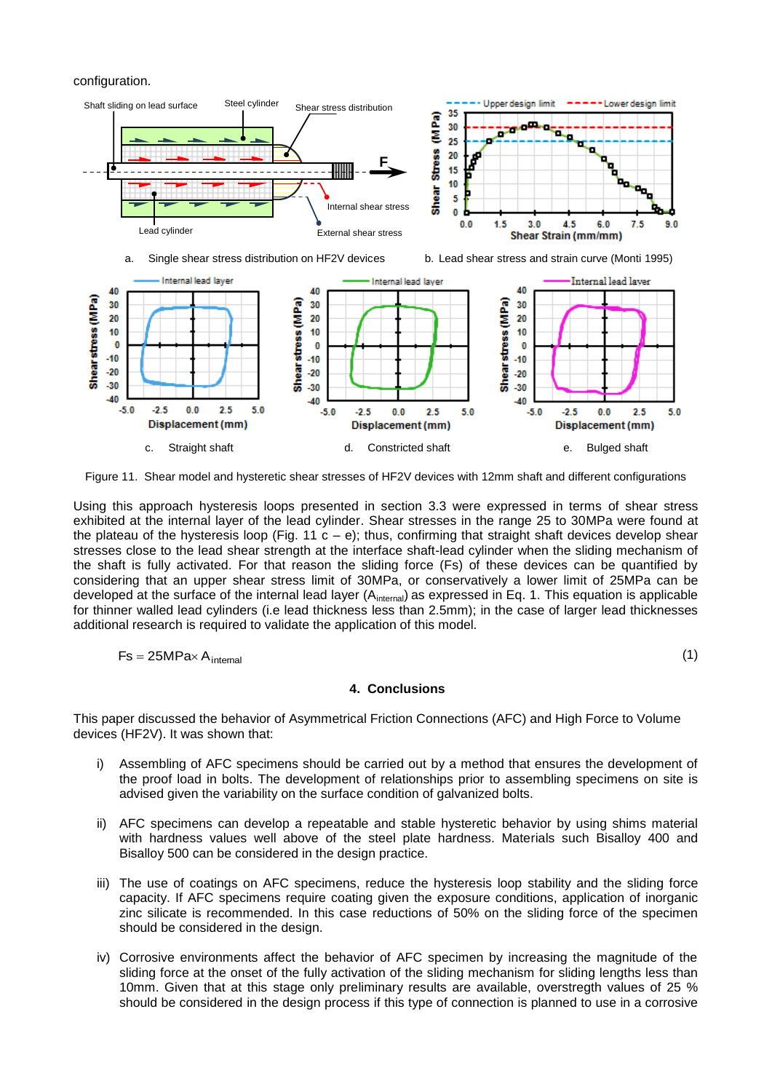configuration.



Figure 11. Shear model and hysteretic shear stresses of HF2V devices with 12mm shaft and different configurations

Using this approach hysteresis loops presented in section 3.3 were expressed in terms of shear stress exhibited at the internal layer of the lead cylinder. Shear stresses in the range 25 to 30MPa were found at the plateau of the hysteresis loop (Fig. 11  $c - e$ ); thus, confirming that straight shaft devices develop shear stresses close to the lead shear strength at the interface shaft-lead cylinder when the sliding mechanism of the shaft is fully activated. For that reason the sliding force (Fs) of these devices can be quantified by considering that an upper shear stress limit of 30MPa, or conservatively a lower limit of 25MPa can be developed at the surface of the internal lead layer  $(A<sub>internal</sub>)$  as expressed in Eq. 1. This equation is applicable for thinner walled lead cylinders (i.e lead thickness less than 2.5mm); in the case of larger lead thicknesses additional research is required to validate the application of this model.

$$
\mathsf{Fs} = 25\mathsf{MPa} \times \mathsf{A}_{\mathsf{internal}}
$$

(1)

### **4. Conclusions**

This paper discussed the behavior of Asymmetrical Friction Connections (AFC) and High Force to Volume devices (HF2V). It was shown that:

- i) Assembling of AFC specimens should be carried out by a method that ensures the development of the proof load in bolts. The development of relationships prior to assembling specimens on site is advised given the variability on the surface condition of galvanized bolts.
- ii) AFC specimens can develop a repeatable and stable hysteretic behavior by using shims material with hardness values well above of the steel plate hardness. Materials such Bisalloy 400 and Bisalloy 500 can be considered in the design practice.
- iii) The use of coatings on AFC specimens, reduce the hysteresis loop stability and the sliding force capacity. If AFC specimens require coating given the exposure conditions, application of inorganic zinc silicate is recommended. In this case reductions of 50% on the sliding force of the specimen should be considered in the design.
- iv) Corrosive environments affect the behavior of AFC specimen by increasing the magnitude of the sliding force at the onset of the fully activation of the sliding mechanism for sliding lengths less than 10mm. Given that at this stage only preliminary results are available, overstregth values of 25 % should be considered in the design process if this type of connection is planned to use in a corrosive